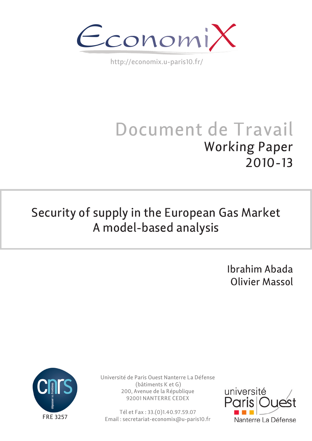

http://economix.u-paris10.fr/

# Document de Travail Working Paper 2010-13

## Security of supply in the European Gas Market A model-based analysis

Ibrahim Abada Olivier Massol



Université de Paris Ouest Nanterre La Défense (bâtiments K et G) 200, Avenue de la République 92001 NANTERRE CEDEX

Tél et Fax : 33.(0)1.40.97.59.07 Email : secretariat-economix@u-paris10.fr

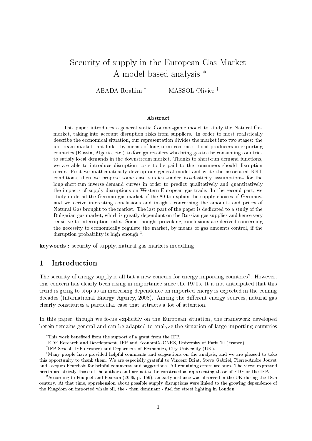## Security of supply in the European Gas Market A model-based analysis <sup>∗</sup>

ABADA Ibrahim † MASSOL Olivier ‡

#### Abstract

This paper introduces a general static Cournot-game model to study the Natural Gas market, taking into account disruption risks from suppliers. In order to most realistically describe the economical situation, our representation divides the market into two stages: the upstream market that links -by means of long-term contracts- local producers in exporting countries (Russia, Algeria, etc.) to foreign retailers who bring gas to the consuming countries to satisfy local demands in the downstream market. Thanks to short-run demand functions, we are able to introduce disruption costs to be paid to the consumers should disruption occur. First we mathematically develop our general model and write the associated KKT conditions, then we propose some case studies -under iso-elasticity assumptions- for the long-short-run inverse-demand curves in order to predict qualitatively and quantitatively the impacts of supply disruptions on Western European gas trade. In the second part, we study in detail the German gas market of the 80 to explain the supply choices of Germany, and we derive interesting conclusions and insights concerning the amounts and prices of Natural Gas brought to the market. The last part of the paper is dedicated to a study of the Bulgarian gas market, which is greatly dependant on the Russian gas supplies and hence very sensitive to interruption risks. Some thought-provoking conclusions are derived concerning the necessity to economically regulate the market, by means of gas amounts control, if the disruption probability is high enough<sup>1</sup>.

keywords : security of supply, natural gas markets modelling.

#### 1 Introduction

The security of energy supply is all but a new concern for energy importing countries<sup>2</sup>. However, this concern has clearly been rising in importance since the 1970s. It is not anticipated that this trend is going to stop as an increasing dependence on imported energy is expected in the coming decades (International Energy Agency, 2008). Among the different energy sources, natural gas clearly constitutes a particular case that attracts a lot of attention.

In this paper, though we focus explicitly on the European situation, the framework developed herein remains general and can be adapted to analyze the situation of large importing countries

<sup>∗</sup>This work beneted from the support of a grant from the IFP.

<sup>†</sup>EDF Research and Development, IFP and EconomiX-CNRS, University of Paris 10 (France).

<sup>‡</sup> IFP School, IFP (France) and Deparment of Economics, City University (UK).

<sup>&</sup>lt;sup>1</sup>Many people have provided helpful comments and suggestions on the analysis, and we are pleased to take this opportunity to thank them. We are especially grateful to Vincent Briat, Steve Gabriel, Pierre-André Jouvet and Jacques Percebois for helpful comments and suggestions. All remaining errors are ours. The views expressed herein are strictly those of the authors and are not to be construed as representing those of EDF or the IFP.

<sup>&</sup>lt;sup>2</sup> According to Fouquet and Pearson (2006, p. 156), an early instance was observed in the UK during the 18th century. At that time, apprehension about possible supply disruptions were linked to the growing dependence of the Kingdom on imported whale oil, the - then dominant - fuel for street lighting in London.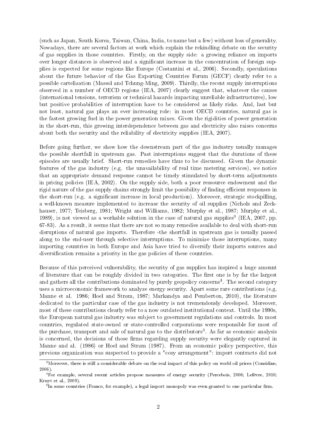(such as Japan, South Korea, Taiwan, China, India, to name but a few) without loss of generality. Nowadays, there are several factors at work which explain the rekindling debate on the security of gas supplies in those countries. Firstly, on the supply side: a growing reliance on imports over longer distances is observed and a significant increase in the concentration of foreign supplies is expected for some regions like Europe (Costantini et al., 2006). Secondly, speculations about the future behavior of the Gas Exporting Countries Forum (GECF) clearly refer to a possible cartelization (Massol and Tchung-Ming, 2009). Thirdly, the recent supply interruptions observed in a number of OECD regions (IEA, 2007) clearly suggest that, whatever the causes (international tensions, terrorism or technical hazards impacting unreliable infrastructures), low but positive probabilities of interruption have to be considered as likely risks. And, last but not least, natural gas plays an ever increasing role: in most OECD countries, natural gas is the fastest growing fuel in the power generation mixes. Given the rigidities of power generation in the short-run, this growing interdependence between gas and electricity also raises concerns about both the security and the reliability of electricity supplies (IEA, 2007).

Before going further, we show how the downstream part of the gas industry usually manages the possible shortfall in upstream gas. Past interruptions suggest that the durations of these episodes are usually brief. Short-run remedies have thus to be discussed. Given the dynamic features of the gas industry (e.g. the unavailability of real time metering services), we notice that an appropriate demand response cannot be timely stimulated by short-term adjustments in pricing policies (IEA, 2002). On the supply side, both a poor ressource endowment and the rigid nature of the gas supply chains strongly limit the possibility of finding efficient responses in the short-run (e.g. a significant increase in local production). Moreover, strategic stockpilling, a well-known measure implemented to increase the security of oil supplies (Nichols and Zeckhauser, 1977; Teisberg, 1981; Wright and Williams, 1982; Murphy et al., 1987; Murphy et al., 1989), is not viewed as a workable solution in the case of natural gas supplies<sup>3</sup> (IEA, 2007, pp. 67-83). As a result, it seems that there are not so many remedies available to deal with short-run disruptions of natural gas imports. Therefore -the shortfall in upstream gas is usually passed along to the end-user through selective interruptions. To minimize those interruptions, many importing countries in both Europe and Asia have tried to diversify their imports sources and diversification remains a priority in the gas policies of these countries.

Because of this perceived vulnerability, the security of gas supplies has inspired a huge amount of literature that can be roughly divided in two categories. The first one is by far the largest and gathers all the contributions dominated by purely geopolicy concerns<sup>4</sup>. The second category uses a microeconomic framework to analyze energy security. Apart some rare contributions (e.g. Manne et al. 1986; Hoel and Strøm, 1987; Markandya and Pemberton, 2010), the literature dedicated to the particular case of the gas industry is not tremendously developed. Moreover, most of these contributions clearly refer to a now outdated institutional context. Until the 1990s, the European natural gas industry was subject to government regulations and controls. In most countries, regulated state-owned or state-controlled corporations were responsible for most of the purchase, transport and sale of natural gas to the distributors<sup>5</sup>. As far as economic analysis is concerned, the decisions of those firms regarding supply security were elegantly captured in Manne and al. (1986) or Hoel and Strøm (1987). From an economic policy perspective, this previous organization was suspected to provide a "cosy arrangement": import contracts did not

 $3$ Moreover, there is still a considerable debate on the real impact of this policy on world oil prices (Considine, 2006).

<sup>4</sup>For example, several recent articles propose measures of energy security (Percebois, 2006; Lefèvre, 2010; Kruyt et al., 2009).

 $^{5}$ In some countries (France, for example), a legal import monopoly was even granted to one particular firm.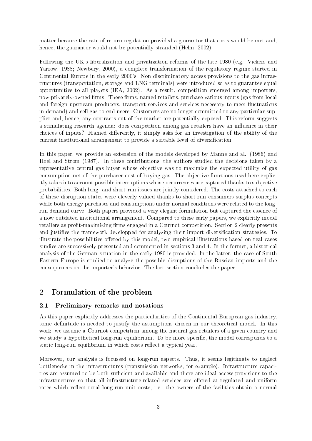matter because the rate-of-return regulation provided a guarantor that costs would be met and, hence, the guarantor would not be potentially stranded (Helm, 2002).

Following the UK's liberalization and privatization reforms of the late 1980 (e.g. Vickers and Yarrow, 1988; Newbery, 2000), a complete transformation of the regulatory regime started in Continental Europe in the early 2000's. Non discriminatory access provisions to the gas infrastructures (transportation, storage and LNG terminals) were introduced so as to guarantee equal opportunities to all players (IEA, 2002). As a result, competition emerged among importers, now privately-owned firms. These firms, named retailers, purchase various inputs (gas from local and foreign upstream producers, transport services and services necessary to meet fluctuations in demand) and sell gas to end-users. Customers are no longer committed to any particular supplier and, hence, any contracts out of the market are potentially exposed. This reform suggests a stimulating research agenda: does competition among gas retailers have an influence in their choices of inputs? Framed differently, it simply asks for an investigation of the ability of the current institutional arrangement to provide a suitable level of diversification.

In this paper, we provide an extension of the models developed by Manne and al. (1986) and Hoel and Strøm (1987). In these contributions, the authors studied the decisions taken by a representative central gas buyer whose objective was to maximize the expected utility of gas consumption net of the purchaser cost of buying gas. The objective functions used here explicitly takes into account possible interruptions whose occurrences are captured thanks to subjective probabilities. Both long- and short-run issues are jointly considered. The costs attached to each of these disruption states were cleverly valued thanks to short-run consumers surplus concepts while both energy purchases and consumptions under normal conditions were related to the longrun demand curve. Both papers provided a very elegant formulation but captured the essence of a now outdated institutional arrangement. Compared to these early papers, we explicitly model retailers as profit-maximizing firms engaged in a Cournot competition. Section 2 clearly presents and justifies the framework developped for analyzing their import diversification strategies. To illustrate the possibilities offered by this model, two empirical illustrations based on real cases studies are successively presented and commented in sections 3 and 4. In the former, a historical analysis of the German situation in the early 1980 is provided. In the latter, the case of South Eastern Europe is studied to analyze the possible disruptions of the Russian imports and the consequences on the importer's behavior. The last section concludes the paper.

## 2 Formulation of the problem

#### 2.1 Preliminary remarks and notations

As this paper explicitly addresses the particularities of the Continental European gas industry, some definitude is needed to justify the assumptions chosen in our theoretical model. In this work, we assume a Cournot competition among the natural gas retailers of a given country and we study a hypothetical long-run equilibrium. To be more specific, the model corresponds to a static long-run equilibrium in which costs reflect a typical year.

Moreover, our analysis is focussed on long-run aspects. Thus, it seems legitimate to neglect bottlenecks in the infrastructures (transmission networks, for example). Infrastructure capacities are assumed to be both sufficient and available and there are ideal access provisions to the infrastructures so that all infrastructure-related services are offered at regulated and uniform rates which reflect total long-run unit costs, i.e. the owners of the facilities obtain a normal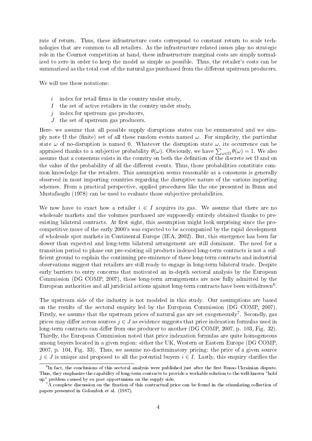rate of return. Thus, these infrastructure costs correspond to constant return to scale technologies that are common to all retailers. As the infrastructure related issues play no strategic role in the Cournot competition at hand, these infrastructure marginal costs are simply normalized to zero in order to keep the model as simple as possible. Thus, the retailer's costs can be summarized as the total cost of the natural gas purchased from the different upstream producers.

We will use these notations:

- $i$  index for retail firms in the country under study,
- I the set of active retailers in the country under study,
- $j$  index for upstream gas producers,
- J the set of upstream gas producers.

Here- we assume that all possible supply disruptions states can be enumerated and we simply note  $\Omega$  the (finite) set of all these random events named  $\omega$ . For simplicity, the particular state  $\omega$  of no-disruption is named 0. Whatever the disruption state  $\omega$ , its occurrence can be appraised thanks to a subjective probability  $\theta(\omega)$ . Obviously, we have  $\sum_{\omega \in \Omega} \theta(\omega) = 1$ . We also assume that a consensus exists in the country on both the definition of the discrete set  $\Omega$  and on the value of the probability of all the different events. Thus, those probabilities constitute common knowledge for the retailers. This assumption seems reasonable as a consensus is generally observed in most importing countries regarding the disruptive nature of the various importing schemes. From a practical perspective, applied procedures like the one presented in Bunn and Mustafaoglu (1978) can be used to evaluate those subjective probabilities.

We now have to exact how a retailer  $i \in I$  acquires its gas. We assume that there are no wholesale markets and the volumes purchased are supposedly entirely obtained thanks to preexisting bilateral contracts. At first sight, this assumption might look surprising since the procompetitive move of the early 2000's was expected to be accompanied by the rapid development of wholesale spot markets in Continental Europe (IEA, 2002). But, this emergence has been far slower than expected and long-term bilateral arrangement are still dominant. The need for a transition period to phase out pre-existing oil products indexed long-term contracts is not a suf ficient ground to explain the continuing pre-eminence of these long-term contracts and industrial observations suggest that retailers are still ready to engage in long-term bilateral trade. Despite early barriers to entry concerns that motivated an in-depth sectoral analysis by the European Commission (DG COMP, 2007), those long-term arrangements are now fully admitted by the European authorities and all juridicial actions against long-term contracts have been withdrawn<sup>6</sup>.

The upstream side of the industry is not modeled in this study. Our assumptions are based on the results of the sectoral enquiry led by the European Commission (DG COMP, 2007). Firstly, we assume that the upstream prices of natural gas are set exogeneously<sup>7</sup>. Secondly, gas prices may differ across sources  $j \in J$  as evidence suggests that price indexation formulas used in long-term contracts can differ from one producer to another (DG COMP, 2007, p. 103, Fig. 32). Thirdly, the European Commission noted that price indexation formulas are quite homogeneous among buyers located in a given region: either the UK, Western or Eastern Europe (DG COMP, 2007, p. 104, Fig. 33). Thus, we assume no-discriminatory pricing: the price of a given source  $j \in J$  is unique and proposed to all the potential buyers  $i \in I$ . Lastly, this enquiry clarifies the

 ${}^{6}$ In fact, the conclusions of this sectoral analysis were published just after the first Russo-Ukrainian dispute. Thus, they emphasize the capability of long-term contracts to provide a workable solution to the well-known "hold up" problem caused by ex post opportunism on the supply side.

 ${}^{7}$ A complete discussion on the fixation of this contractual price can be found in the stimulating collection of papers presented in Golombek et al. (1987).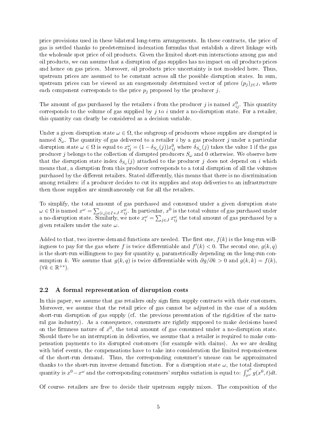price provisions used in these bilateral long-term arrangements. In these contracts, the price of gas is settled thanks to predetermined indexation formulas that establish a direct linkage with the wholesale spot price of oil products. Given the limited short-run interactions among gas and oil products, we can assume that a disruption of gas supplies has no impact on oil products prices and hence on gas prices. Moreover, oil products price uncertainty is not modeled here. Thus, upstream prices are assumed to be constant across all the possible disruption states. In sum, upstream prices can be viewed as an exogeneously determined vector of prices  $(p_i)_{i\in J}$ , where each component corresponds to the price  $p_i$  proposed by the producer j.

The amount of gas purchased by the retailers i from the producer j is named  $x_{ij}^0$ . This quantity corresponds to the volume of gas supplied by j to i under a no-disruption state. For a retailer, this quantity can clearly be considered as a decision variable.

Under a given disruption state  $\omega \in \Omega$ , the subgroup of producers whose supplies are disrupted is named  $S_{\omega}$ . The quantity of gas delivered to a retailer i by a gas producer j under a particular disruption state  $\omega \in \Omega$  is equal to  $x_{ij}^{\omega} = (1 - \delta_{S_{\omega}}(j))x_{ij}^{0}$  where  $\delta_{S_{\omega}}(j)$  takes the value 1 if the gas producer  $j$  belongs to the collection of disrupted producers  $S_\omega$  and  $0$  otherwise. We observe here that the disruption state index  $\delta_{S_{\omega}}(j)$  attached to the producer j does not depend on i which means that, a disruption from this producer corresponds to a total disruption of all the volumes purchased by the different retailers. Stated differently, this means that there is no discrimination among retailers: if a producer decides to cut its supplies and stop deliveries to an infrastructure then those supplies are simultaneously cut for all the retailers.

To simplify, the total amount of gas purchased and consumed under a given disruption state  $\omega \in \Omega$  is named  $x^\omega = \sum_{(i,j) \in I \times J} x_{ij}^\omega$ . In particular,  $x^0$  is the total volume of gas purchased under a no-disruption state. Similarly, we note  $x_i^{\omega} = \sum_{j \in J} x_{ij}^{\omega}$  the total amount of gas purchased by a given retailers under the sate  $\omega$ .

Added to that, two inverse demand functions are needed. The first one,  $f(k)$  is the long-run willingness to pay for the gas where f is twice differentiable and  $f'(k) < 0$ . The second one,  $g(k, q)$ is the short-run willingness to pay for quantity q, parametrically depending on the long-run consumption k. We assume that  $g(k, q)$  is twice differentiable with  $\partial g/\partial k > 0$  and  $g(k, k) = f(k)$ .  $(\forall k \in \mathbb{R}^{+*}).$ 

#### 2.2 A formal representation of disruption costs

In this paper, we assume that gas retailers only sign firm supply contracts with their customers. Moreover, we assume that the retail price of gas cannot be adjusted in the case of a sudden short-run disruption of gas supply (cf. the previous presentation of the rigidities of the natural gas industry). As a consequence, consumers are rightly supposed to make decisions based on the firmness nature of  $x^0$ , the total amount of gas consumed under a no-disruption state. Should there be an interruption in deliveries, we assume that a retailer is required to make compensation payments to its disrupted customers (for example with claims). As we are dealing with brief events, the compensations have to take into consideration the limited responsiveness of the short-run demand. Thus, the corresponding consumer's unease can be approximated thanks to the short-run inverse demand function. For a disruption state  $\omega$ , the total disrupted quantity is  $x^0 - x^\omega$  and the corresponding consumers' surplus variation is equal to:  $\int_{x^\omega}^{x^0} g(x^0, t) dt$ .

Of course- retailers are free to decide their upstream supply mixes. The composition of the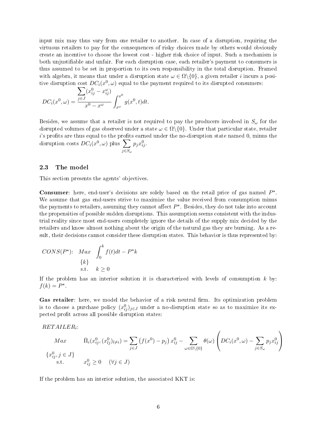input mix may thus vary from one retailer to another. In case of a disruption, requiring the virtuous retailers to pay for the consequences of risky choices made by others would obviously create an incentive to choose the lowest cost - higher risk choice of input. Such a mechanism is both unjustiable and unfair. For each disruption case, each retailer's payment to consumers is thus assumed to be set in proportion to its own responsibility in the total disruption. Framed with algebra, it means that under a disruption state  $\omega \in \Omega \setminus \{0\}$ , a given retailer *i* incurs a positive disruption cost  $DC_i(x^0, \omega)$  equal to the payment required to its disrupted consumers:

$$
DC_i(x^0, \omega) = \frac{\sum_{j \in J} (x_{ij}^0 - x_{ij}^{\omega})}{x^0 - x^{\omega}} \int_{x^{\omega}}^{x^0} g(x^0, t) dt.
$$

Besides, we assume that a retailer is not required to pay the producers involved in  $S_{\omega}$  for the disrupted volumes of gas observed under a state  $\omega \in \Omega \setminus \{0\}$ . Under that particular state, retailer  $i$ 's profits are thus equal to the profits earned under the no-disruption state named  $0$ , minus the disruption costs  $DC_i(x^0, \omega)$  plus  $\sum$  $j$ ∈ $S_{\omega}$  $p_j x_{ij}^0$ .

#### 2.3 The model

This section presents the agents' objectives.

Consumer: here, end-user's decisions are solely based on the retail price of gas named  $P^{\star}$ . We assume that gas end-users strive to maximize the value received from consumption minus the payments to retailers, assuming they cannot affect  $P^{\star}$ . Besides, they do not take into account the propensities of possible sudden disruptions. This assumption seems consistent with the industrial reality since most end-users completely ignore the details of the supply mix decided by the retailers and know almost nothing about the origin of the natural gas they are burning. As a result, their decisions cannot consider these disruption states. This behavior is thus represented by:

$$
CONS(P^*)\text{:} \quad Max \quad \int_0^k f(t)dt - P^*k
$$
  

$$
\{k\}
$$
  
s.t.  $k \ge 0$ 

If the problem has an interior solution it is characterized with levels of consumption  $k$  by:  $f(k) = P^*$ .

Gas retailer: here, we model the behavior of a risk neutral firm. Its optimization problem is to choose a purchase policy  $(x_{ij}^0)_{j\in J}$  under a no-disruption state so as to maximize its expected profit across all possible disruption states:

$$
RETAILER_i
$$

$$
Max \qquad \bar{\Pi}_{i}(x_{ij}^{0}, (x_{ij}^{0})_{l\neq i}) = \sum_{j\in J} (f(x^{0}) - p_{j}) x_{ij}^{0} - \sum_{\omega \in \Omega \setminus \{0\}} \theta(\omega) \left( DC_{i}(x^{0}, \omega) - \sum_{j\in S_{\omega}} p_{j} x_{ij}^{0} \right)
$$
  

$$
\{x_{ij}^{0}, j \in J\}
$$
  
s.t. 
$$
x_{ij}^{0} \ge 0 \quad (\forall j \in J)
$$

If the problem has an interior solution, the associated KKT is: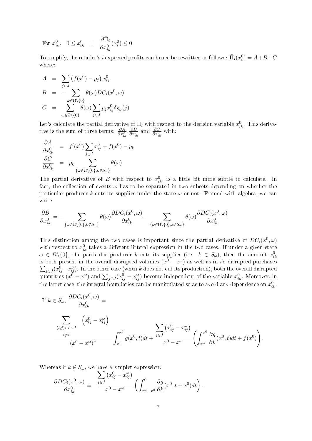For  $x_{ik}^0: 0 \le x_{ik}^0 \perp$  $\partial \bar{\Pi}_i$  $\partial x_{ik}^0$  $(x_i^0) \leq 0$ 

To simplify, the retailer's  $i$  expected profits can hence be rewritten as follows:  $\bar{\Pi}_i(x_i^0) = A + B + C$ where:

$$
A = \sum_{j \in J} (f(x^0) - p_j) x_{ij}^0
$$
  
\n
$$
B = -\sum_{\omega \in \Omega \setminus \{0\}} \theta(\omega) DC_i(x^0, \omega)
$$
  
\n
$$
C = \sum_{\omega \in \Omega \setminus \{0\}}^{\omega \in \Omega \setminus \{0\}} \theta(\omega) \sum_{j \in J} p_j x_{ij}^0 \delta_{S_{\omega}}(j)
$$

Let's calculate the partial derivative of  $\bar{\Pi}_i$  with respect to the decision variable  $x_{ik}^0$ . This derivative is the sum of three terms:  $\frac{\partial A}{\partial x_{ik}^0}, \frac{\partial B}{\partial x_{ik}^0}$  and  $\frac{\partial C}{\partial x_{ik}^0}$  with:

$$
\frac{\partial A}{\partial x_{ik}^0} = f'(x^0) \sum_{j \in J} x_{ij}^0 + f(x^0) - p_k
$$
  

$$
\frac{\partial C}{\partial x_{ik}^0} = p_k \sum_{\{\omega \in \Omega \setminus \{0\}, k \in S_\omega\}} \theta(\omega)
$$

The partial derivative of B with respect to  $x_{ik}^0$ , is a little bit more subtle to calculate. In fact, the collection of events  $\omega$  has to be separated in two subsets depending on whether the particular producer k cuts its supplies under the state  $\omega$  or not. Framed with algebra, we can write:

$$
\frac{\partial B}{\partial x_{ik}^0} = - \sum_{\{\omega \in \Omega \setminus \{0\}, k \notin S_{\omega}\}} \theta(\omega) \frac{\partial DC_i(x^0, \omega)}{\partial x_{ik}^0} - \sum_{\{\omega \in \Omega \setminus \{0\}, k \in S_{\omega}\}} \theta(\omega) \frac{\partial DC_i(x^0, \omega)}{\partial x_{ik}^0}
$$

This distinction among the two cases is important since the partial derivative of  $DC_i(x^0, \omega)$ with respect to  $x_{ik}^0$  takes a different litteral expression in the two cases. If under a given state  $\omega \in \Omega \backslash \{0\}$ , the particular producer k cuts its supplies (i.e.  $k \in S_{\omega}$ ), then the amount  $x_{ik}^0$ is both present in the overall disrupted volumes  $(x^{0} - x^{\omega})$  as well as in i's disrupted purchases  $\sum_{j\in J}(x_{ij}^0-x_{ij}^{\omega})$ . In the other case (when k does not cut its production), both the overall disrupted quantities  $(x^0 - x^{\omega})$  and  $\sum_{j \in J} (x_{ij}^0 - x_{ij}^{\omega})$  become independent of the variable  $x_{ik}^0$ . Moreover, in the latter case, the integral boundaries can be manipulated so as to avoid any dependence on  $x_{ik}^0$ .

If 
$$
k \in S_{\omega}
$$
,  $\frac{\partial DC_i(x^0, \omega)}{\partial x_{ik}^0} =$   
\n
$$
\sum_{\substack{(l,j) \in I \times J \\ l \neq i}} \left( x_{lj}^0 - x_{lj}^{\omega} \right)
$$
\n
$$
\frac{\sum_{l \neq i} \left( x_{ij}^0 - x_{ij}^{\omega} \right)}{\left( x^0 - x^{\omega} \right)^2} \int_{x^{\omega}}^{x^0} g(x^0, t) dt + \frac{\sum_{j \in J} \left( x_{ij}^0 - x_{ij}^{\omega} \right)}{x^0 - x^{\omega}} \left( \int_{x^{\omega}}^{x^0} \frac{\partial g}{\partial k}(x^0, t) dt + f(x^0) \right).
$$

Whereas if  $k \notin S_\omega$ , we have a simpler expression:

$$
\frac{\partial DC_i(x^0, \omega)}{\partial x_{ik}^0} = \frac{\sum_{j \in J} (x_{ij}^0 - x_{ij}^{\omega})}{x^0 - x^{\omega}} \left( \int_{x^{\omega} - x^0}^0 \frac{\partial g}{\partial k} (x^0, t + x^0) dt \right).
$$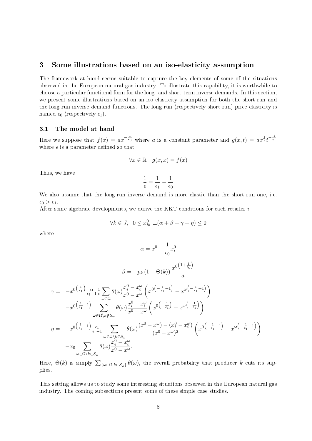## 3 Some illustrations based on an iso-elasticity assumption

The framework at hand seems suitable to capture the key elements of some of the situations observed in the European natural gas industry. To illustrate this capability, it is worthwhile to choose a particular functional form for the long- and short-term inverse demands. In this section, we present some illustrations based on an iso-elasticity assumption for both the short-run and the long-run inverse demand functions. The long-run (respectively short-run) price elasticity is named  $\epsilon_0$  (respectively  $\epsilon_1$ ).

#### 3.1 The model at hand

Here we suppose that  $f(x) = ax^{-\frac{1}{\epsilon_0}}$  where a is a constant parameter and  $g(x,t) = ax^{\frac{1}{\epsilon}}t^{-\frac{1}{\epsilon_1}}$ where  $\epsilon$  is a parameter defined so that

$$
\forall x \in \mathbb{R} \quad g(x, x) = f(x)
$$

Thus, we have

$$
\frac{1}{\epsilon} = \frac{1}{\epsilon_1} - \frac{1}{\epsilon_0}
$$

We also assume that the long-run inverse demand is more elastic than the short-run one, i.e.  $\epsilon_0 > \epsilon_1$ .

After some algebraic developments, we derive the KKT conditions for each retailer i:

$$
\forall k \in J, \ \ 0 \le x_{ik}^0 \ \bot(\alpha + \beta + \gamma + \eta) \le 0
$$

where

$$
\alpha = x^{0} - \frac{1}{\epsilon_{0}}x_{i}^{0}
$$
\n
$$
\beta = -p_{k} (1 - \Theta(k)) \frac{x^{0} \left(1 + \frac{1}{\epsilon_{0}}\right)}{a}
$$
\n
$$
\gamma = -x^{0\left(\frac{1}{\epsilon_{1}}\right)} \frac{\epsilon_{1}}{\epsilon_{1} - 1} \frac{1}{\epsilon} \sum_{\omega \in \Omega} \theta(\omega) \frac{x_{i}^{0} - x_{i}^{\omega}}{x^{0} - x^{\omega}} \left(x^{0\left(-\frac{1}{\epsilon_{1}} + 1\right)} - x^{\omega\left(-\frac{1}{\epsilon_{1}} + 1\right)}\right)
$$
\n
$$
-x^{0\left(\frac{1}{\epsilon_{1}} + 1\right)} \sum_{\omega \in \Omega \setminus k \notin S_{\omega}} \theta(\omega) \frac{x_{i}^{0} - x_{i}^{\omega}}{x^{0} - x^{\omega}} \left(x^{0\left(-\frac{1}{\epsilon_{1}}\right)} - x^{\omega\left(-\frac{1}{\epsilon_{1}}\right)}\right)
$$
\n
$$
\eta = -x^{0\left(\frac{1}{\epsilon_{1}} + 1\right)} \sum_{\substack{\epsilon_{1} \\ \epsilon_{1} = 1}} \sum_{\substack{\omega \in \Omega \setminus k \in S_{\omega} \\ \omega \in \Omega \setminus k \in S_{\omega}}} \theta(\omega) \frac{(x^{0} - x^{\omega}) - (x_{i}^{0} - x_{i}^{\omega})}{(x^{0} - x^{\omega})^{2}} \left(x^{0\left(-\frac{1}{\epsilon_{1}} + 1\right)} - x^{\omega\left(-\frac{1}{\epsilon_{1}} + 1\right)}\right)
$$

Here,  $\Theta(k)$  is simply  $\sum_{\{\omega \in \Omega, k \in S_\omega\}} \theta(\omega)$ , the overall probability that producer k cuts its supplies.

This setting allows us to study some interesting situations observed in the European natural gas industry. The coming subsections present some of these simple case studies.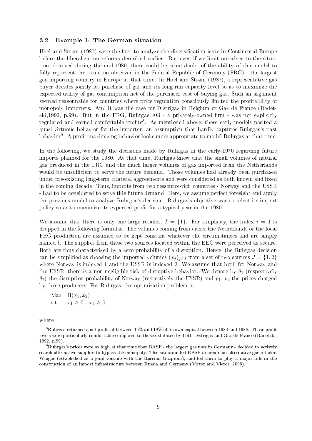#### 3.2 Example 1: The German situation

Hoel and Strøm (1987) were the first to analyze the diversification issue in Continental Europe before the liberalization reforms described earlier. But even if we limit ourselves to the situation observed during the mid-1980, there could be some doubt of the ability of this model to fully represent the situation observed in the Federal Republic of Germany (FRG) - the largest gas importing country in Europe at that time. In Hoel and Strøm (1987), a representative gas buyer decides jointly its purchase of gas and its long-run capacity level so as to maximize the expected utility of gas consumption net of the purchaser cost of buying gas. Such an argument seemed reasonnable for countries where price regulation consciously limited the profitability of monopoly importers. And it was the case for Distrigaz in Belgium or Gaz de France (Radetzki,1992, p.99). But in the FRG, Ruhrgas  $AG$  - a privately-owned firm - was not explicitly regulated and earned comfortable profits<sup>8</sup>. As mentioned above, these early models posited a quasi-virtuous behavior for the importer; an assumption that hardly captures Ruhrgas's past behavior<sup>9</sup>. A profit-maximizing behavior looks more appropriate to model Ruhrgas at that time.

In the following, we study the decisions made by Ruhrgas in the early-1970 regarding future imports planned for the 1980. At that time, Rurhgas knew that the small volumes of natural gas produced in the FRG and the much larger volumes of gas imported from the Netherlands would be unsufficient to serve the future demand. Those volumes had already been purchased under pre-existing long-term bilateral aggreements and were considered as both known and fixed in the coming decade. Thus, imports from two ressource-rich countries - Norway and the USSR - had to be considered to serve this future demand. Here, we assume perfect foresight and apply the previous model to analyze Ruhrgas's decision. Ruhrgas's objective was to select its import policy so as to maximize its expected profit for a typical year in the 1980.

We assume that there is only one large retailer,  $I = \{1\}$ . For simplicity, the index  $i = 1$  is dropped in the following formulas. The volumes coming from either the Netherlands or the local FRG production are assumed to be kept constant whatever the circumstances and are simply named l. The supplies from these two sources located within the EEC were perceived as secure. Both are thus characterized by a zero probability of a disruption. Hence, the Ruhrgas decision can be simplified as choosing the imported volumes  $(x_i)_{i\in J}$  from a set of two sources  $J = \{1, 2\}$ where Norway is indexed 1 and the USSR is indexed 2. We assume that both for Norway and the USSR, there is a non-negligible risk of disruptive behavior. We denote by  $\theta_1$  (respectively  $\theta_2$ ) the disruption probability of Norway (respectively the USSR) and  $p_1$ ,  $p_2$  the prices charged by these producers. For Ruhrgas, the optimization problem is:

Max  $\bar{\Pi}(x_1, x_2)$ s.t.  $x_1 \ge 0$   $x_2 \ge 0$ 

where

 $8Ruhrgs$  returned a net profit of between 16% and 19% of its own capital between 1984 and 1988. Those profit levels were particularly comfortable compared to those exhibited by both Distrigas and Gaz de France (Radetzki, 1992, p.99).

<sup>9</sup>Ruhrgas's prices were so high at that time that BASF - the largest gas user in Germany - decided to actively search alternative supplies to bypass the monopoly. This situation led BASF to create an alternative gas retailer, Wingas (established as a joint-venture with the Russian Gazprom), and led them to play a major role in the construction of an import infrastructure between Russia and Germany (Victor and Victor, 2006).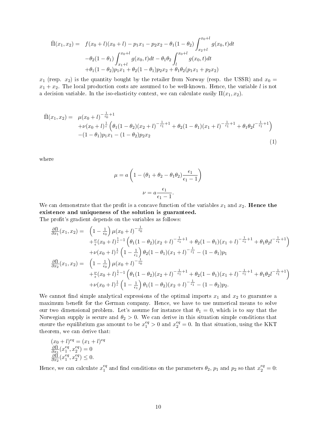$$
\overline{\Pi}(x_1, x_2) = f(x_0 + l)(x_0 + l) - p_1 x_1 - p_2 x_2 - \theta_1 (1 - \theta_2) \int_{x_2 + l}^{x_0 + l} g(x_0, t) dt
$$

$$
-\theta_2 (1 - \theta_1) \int_{x_1 + l}^{x_0 + l} g(x_0, t) dt - \theta_1 \theta_2 \int_{l}^{x_0 + l} g(x_0, t) dt
$$

$$
+\theta_1 (1 - \theta_2) p_1 x_1 + \theta_2 (1 - \theta_1) p_2 x_2 + \theta_1 \theta_2 (p_1 x_1 + p_2 x_2)
$$

 $x_1$  (resp.  $x_2$ ) is the quantity bought by the retailer from Norway (resp. the USSR) and  $x_0 =$  $x_1 + x_2$ . The local production costs are assumed to be well-known. Hence, the variable l is not a decision variable. In the iso-elasticity context, we can calculate easily  $\Pi(x_1, x_2)$ .

$$
\overline{\Pi}(x_1, x_2) = \mu(x_0 + l)^{-\frac{1}{\epsilon_0}+1} + \nu(x_0 + l)^{\frac{1}{\epsilon}} \left(\theta_1(1-\theta_2)(x_2 + l)^{-\frac{1}{\epsilon_1}+1} + \theta_2(1-\theta_1)(x_1 + l)^{-\frac{1}{\epsilon_1}+1} + \theta_1\theta_2l^{-\frac{1}{\epsilon_1}+1}\right) - (1-\theta_1)p_1x_1 - (1-\theta_2)p_2x_2
$$
\n(1)

where

$$
\mu = a \left( 1 - (\theta_1 + \theta_2 - \theta_1 \theta_2) \frac{\epsilon_1}{\epsilon_1 - 1} \right)
$$

$$
\nu = a \frac{\epsilon_1}{\epsilon_1 - 1}.
$$

We can demonstrate that the profit is a concave function of the variables  $x_1$  and  $x_2$ . Hence the existence and uniqueness of the solution is guaranteed.

The profit's gradient depends on the variables as follows:

$$
\frac{\partial \bar{\Pi}}{\partial x_1}(x_1, x_2) = \left(1 - \frac{1}{\epsilon_0}\right) \mu(x_0 + l)^{-\frac{1}{\epsilon_0}} \n+ \frac{\nu}{\epsilon}(x_0 + l)^{\frac{1}{\epsilon}-1} \left(\theta_1(1 - \theta_2)(x_2 + l)^{-\frac{1}{\epsilon_1}+1} + \theta_2(1 - \theta_1)(x_1 + l)^{-\frac{1}{\epsilon_1}+1} + \theta_1\theta_2 l^{-\frac{1}{\epsilon_1}+1}\right) \n+ \nu(x_0 + l)^{\frac{1}{\epsilon}} \left(1 - \frac{1}{\epsilon_1}\right) \theta_2(1 - \theta_1)(x_1 + l)^{-\frac{1}{\epsilon_1}} - (1 - \theta_1)p_1 \n\frac{\partial \bar{\Pi}}{\partial x_2}(x_1, x_2) = \left(1 - \frac{1}{\epsilon_0}\right) \mu(x_0 + l)^{-\frac{1}{\epsilon_0}} \n+ \frac{\nu}{\epsilon}(x_0 + l)^{\frac{1}{\epsilon}-1} \left(\theta_1(1 - \theta_2)(x_2 + l)^{-\frac{1}{\epsilon_1}+1} + \theta_2(1 - \theta_1)(x_1 + l)^{-\frac{1}{\epsilon_1}+1} + \theta_1\theta_2 l^{-\frac{1}{\epsilon_1}+1}\right) \n+ \nu(x_0 + l)^{\frac{1}{\epsilon}} \left(1 - \frac{1}{\epsilon_1}\right) \theta_1(1 - \theta_2)(x_2 + l)^{-\frac{1}{\epsilon_1}} - (1 - \theta_2)p_2.
$$

We cannot find simple analytical expressions of the optimal imports  $x_1$  and  $x_2$  to guarantee a maximum benefit for the German company. Hence, we have to use numerical means to solve our two dimensional problem. Let's assume for instance that  $\theta_1 = 0$ , which is to say that the Norwegian supply is secure and  $\theta_2 > 0$ . We can derive in this situation simple conditions that ensure the equilibrium gas amount to be  $x_1^{eq} > 0$  and  $x_2^{eq} = 0$ . In that situation, using the KKT theorem, we can derive that:

$$
(x0 + l)eq = (x1 + l)eq
$$

$$
\frac{\partial \bar{\Pi}}{\partial x_1} (x_1^{eq}, x_2^{eq}) = 0
$$

$$
\frac{\partial \Pi}{\partial x_2} (x_1^{eq}, x_2^{eq}) \le 0.
$$

Hence, we can calculate  $x_1^{eq}$  $_1^{eq}$  and find conditions on the parameters  $\theta_2$ ,  $p_1$  and  $p_2$  so that  $x_2^{eq} = 0$ :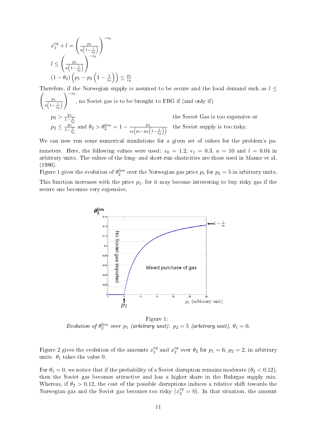$$
x_1^{eq} + l = \left(\frac{p_1}{a\left(1 - \frac{1}{\epsilon_0}\right)}\right)^{-\epsilon_0}
$$

$$
l \le \left(\frac{p_1}{a\left(1 - \frac{1}{\epsilon_0}\right)}\right)^{-\epsilon_0}
$$

$$
(1 - \theta_2) \left(p_1 - p_2 \left(1 - \frac{1}{\epsilon_0}\right)\right) \le \frac{p_1}{\epsilon_0}
$$

Therefore, if the Norwegian supply is assumed to be secure and the local demand such as  $l \leq$  $\begin{pmatrix} p_1 \\ p_2 \end{pmatrix}$  $a\left(1-\frac{1}{\epsilon_0}\right)$  $\bigwedge^{-\epsilon_0}$ , no Soviet gas is to be brought to FRG if (and only if)  $p_2 > \frac{p_1}{1-z}$  $\frac{1}{1-\frac{1}{\epsilon_0}}$ the Soviet Gas is too expensive or  $p_2 \leq \frac{p_1}{1-p_2}$  $\frac{p_1^{(1)}-p_1^{(2)}}{1-\frac{1}{\epsilon_0}}$  and  $\theta_2 > \theta_2^{lim} = 1 - \frac{p_1^{(2)}}{\epsilon_0 \left(p_1-p_2\right)}$  $\frac{p_1}{\epsilon_0\left(p_1-p_2\left(1-\frac{1}{\epsilon_0}\right)\right)}$  the Soviet supply is too risky.

We can now run some numerical simulations for a given set of values for the problem's parameters. Here, the following values were used:  $\epsilon_0 = 1.2$ ,  $\epsilon_1 = 0.3$ ,  $a = 10$  and  $l = 0.04$  in arbitrary units. The values of the long- and short-run elasticities are those used in Manne et al. (1986).

Figure 1 gives the evolution of  $\theta_2^{lim}$  over the Norwegian gas price  $p_1$  for  $p_2 = 5$  in arbitrary units. This function increases with the price  $p_1$ , for it may become interesting to buy risky gas if the secure one becomes very expensive.



Figure 1: Evolution of  $\theta_2^{lim}$  over  $p_1$  (arbitrary unit).  $p_2 = 5$  (arbitrary unit),  $\theta_1 = 0$ .

Figure 2 gives the evolution of the amounts  $x_1^{eq}$  $i_1^{eq}$  and  $x_2^{eq}$  $e^q_2$  over  $\theta_2$  for  $p_1 = 6$ ,  $p_2 = 2$ , in arbitrary units.  $\theta_1$  takes the value 0.

For  $\theta_1 = 0$ , we notice that if the probability of a Soviet disruption remains moderate  $(\theta_2 < 0.12)$ . then the Soviet gas becomes attractive and has a higher share in the Ruhrgas supply mix. Whereas, if  $\theta_2 > 0.12$ , the cost of the possible disruptions induces a relative shift towards the Norwegian gas and the Soviet gas becomes too risky  $(x_2^{eq} = 0)$ . In that situation, the amount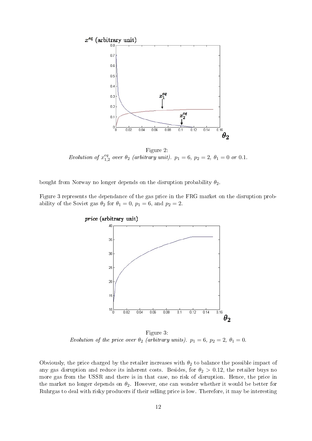

Figure 2: Evolution of  $x_1^{eq}$  $_{1,2}^{eq}$  over  $\theta_2$  (arbitrary unit).  $p_1 = 6, p_2 = 2, \theta_1 = 0$  or 0.1.

bought from Norway no longer depends on the disruption probability  $\theta_2$ .

Figure 3 represents the dependance of the gas price in the FRG market on the disruption probability of the Soviet gas  $\theta_2$  for  $\theta_1 = 0$ ,  $p_1 = 6$ , and  $p_2 = 2$ .



Figure 3: Evolution of the price over  $\theta_2$  (arbitrary units).  $p_1 = 6$ ,  $p_2 = 2$ ,  $\theta_1 = 0$ .

Obviously, the price charged by the retailer increases with  $\theta_2$  to balance the possible impact of any gas disruption and reduce its inherent costs. Besides, for  $\theta_2 > 0.12$ , the retailer buys no more gas from the USSR and there is in that case, no risk of disruption. Hence, the price in the market no longer depends on  $\theta_2$ . However, one can wonder whether it would be better for Ruhrgas to deal with risky producers if their selling price is low. Therefore, it may be interesting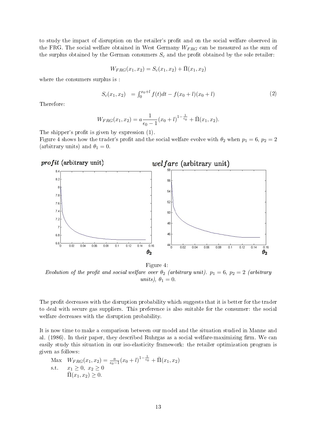to study the impact of disruption on the retailer's profit and on the social welfare observed in the FRG. The social welfare obtained in West Germany  $W_{FRG}$  can be measured as the sum of the surplus obtained by the German consumers  $S_c$  and the profit obtained by the sole retailer:

$$
W_{FRG}(x_1, x_2) = S_c(x_1, x_2) + \bar{\Pi}(x_1, x_2)
$$

where the consumers surplus is :

$$
S_c(x_1, x_2) = \int_0^{x_0 + l} f(t)dt - f(x_0 + l)(x_0 + l)
$$
\n(2)

Therefore:

$$
W_{FRG}(x_1, x_2) = a \frac{1}{\epsilon_0 - 1} (x_0 + l)^{1 - \frac{1}{\epsilon_0}} + \bar{\Pi}(x_1, x_2).
$$

The shipper's profit is given by expression  $(1)$ .

Figure 4 shows how the trader's profit and the social welfare evolve with  $\theta_2$  when  $p_1 = 6$ ,  $p_2 = 2$ (arbitrary units) and  $\theta_1 = 0$ .



Figure 4: Evolution of the profit and social welfare over  $\theta_2$  (arbitrary unit).  $p_1 = 6$ ,  $p_2 = 2$  (arbitrary units),  $\theta_1 = 0$ .

The profit decreases with the disruption probability which suggests that it is better for the trader to deal with secure gas suppliers. This preference is also suitable for the consumer: the social welfare decreases with the disruption probability.

It is now time to make a comparison between our model and the situation studied in Manne and al.  $(1986)$ . In their paper, they described Ruhrgas as a social welfare-maximizing firm. We can easily study this situation in our iso-elasticity framework: the retailer optimization program is given as follows:

Max 
$$
W_{FRG}(x_1, x_2) = \frac{a}{\epsilon_0 - 1} (x_0 + l)^{1 - \frac{1}{\epsilon_0}} + \overline{\Pi}(x_1, x_2)
$$
  
s.t.  $x_1 \ge 0, x_2 \ge 0$   
 $\overline{\Pi}(x_1, x_2) \ge 0.$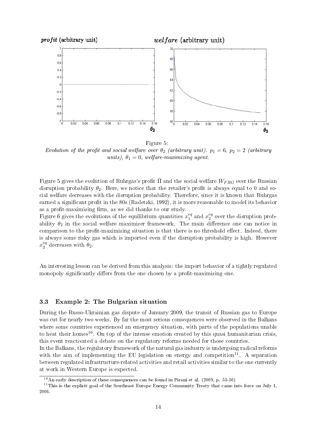

Figure 5:

Evolution of the profit and social welfare over  $\theta_2$  (arbitrary unit).  $p_1 = 6$ ,  $p_2 = 2$  (arbitrary units),  $\theta_1 = 0$ , welfare-maximizing agent.

Figure 5 gives the evolution of Ruhrgas's profit  $\bar{\Pi}$  and the social welfare  $W_{FRG}$  over the Russian disruption probability  $\theta_2$ . Here, we notice that the retailer's profit is always equal to 0 and social welfare decreases with the disruption probability. Therefore, since it is known that Ruhrgas earned a significant profit in the 80s (Radetzki, 1992), it is more reasonable to model its behavior as a profit-maximizing firm, as we did thanks to our study.

Figure 6 gives the evolutions of the equilibrium quantities  $x_1^{eq}$  $i_1^{eq}$  and  $x_2^{eq}$  $\frac{eq}{2}$  over the disruption probability  $\theta_2$  in the social welfare maximizer framework. The main difference one can notice in comparison to the profit-maximizing situation is that there is no threshold effect. Indeed, there is always some risky gas which is imported even if the disruption probability is high. However  $x_2^{eq}$  $_2^{eq}$  decreases with  $\theta_2$ .

An interesting lesson can be derived from this analysis: the import behavior of a tightly regulated monopoly significantly differs from the one chosen by a profit-maximizing one.

#### 3.3 Example 2: The Bulgarian situation

During the Russo-Ukrainian gas dispute of January 2009, the transit of Russian gas to Europe was cut for nearly two weeks. By far the most serious consequences were observed in the Balkans where some countries experienced an emergency situation, with parts of the populations unable to heat their homes<sup>10</sup>. On top of the intense emotion created by this quasi humanitarian crisis, this event reactivated a debate on the regulatory reforms needed for those countries.

In the Balkans, the regulatory framework of the natural gas industry is undergoing radical reforms with the aim of implementing the EU legislation on energy and competition<sup>11</sup>. A separation between regulated infrastructure-related activities and retail activities similar to the one currently at work in Western Europe is expected.

 $10$ An early description of these consequences can be found in Pirani et al. (2009, p. 53-56)

 $11$ This is the explicit goal of the Southeast Europe Energy Community Treaty that came into force on July 1, 2006.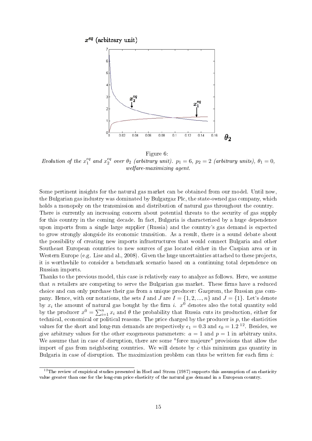

Figure 6: Evolution of the  $x_1^{eq}$  $_1^{eq}$  and  $x_2^{eq}$  $e_2^{eq}$  over  $\theta_2$  (arbitrary unit).  $p_1 = 6$ ,  $p_2 = 2$  (arbitrary units),  $\theta_1 = 0$ , welfare-maximizing agent.

Some pertinent insights for the natural gas market can be obtained from our model. Until now, the Bulgarian gas industry was dominated by Bulgargaz Plc, the state-owned gas company, which holds a monopoly on the transmission and distribution of natural gas throughout the country. There is currently an increasing concern about potential threats to the security of gas supply for this country in the coming decade. In fact, Bulgaria is characterized by a huge dependence upon imports from a single large supplier (Russia) and the country's gas demand is expected to grow strongly alongside its economic transition. As a result, there is a sound debate about the possibility of creating new imports infrastructures that would connect Bulgaria and other Southeast European countries to new sources of gas located either in the Caspian area or in Western Europe (e.g. Lise and al., 2008). Given the huge uncertainties attached to these projects. it is worthwhile to consider a benchmark scenario based on a continuing total dependence on Russian imports.

Thanks to the previous model, this case is relatively easy to analyze as follows. Here, we assume that  $n$  retailers are competing to serve the Bulgarian gas market. These firms have a reduced choice and can only purchase their gas from a unique producer: Gazprom, the Russian gas company. Hence, with our notations, the sets I and J are  $I = \{1, 2, ..., n\}$  and  $J = \{1\}$ . Let's denote by  $x_i$  the amount of natural gas bought by the firm i.  $x^0$  denotes also the total quantity sold by the producer  $x^0 = \sum_{i=1}^n x_i$  and  $\theta$  the probability that Russia cuts its production, either for technical, economical or political reasons. The price charged by the producer is  $p$ , the elasticities values for the short and long-run demands are respectively  $\epsilon_1 = 0.3$  and  $\epsilon_0 = 1.2$  <sup>12</sup>. Besides, we give arbitrary values for the other exogeneous parameters:  $a = 1$  and  $p = 1$  in arbitrary units. We assume that in case of disruption, there are some "force majeure" provisions that allow the import of gas from neighboring countries. We will denote by  $c$  this minimum gas quantity in Bulgaria in case of disruption. The maximization problem can thus be written for each firm  $i$ :

<sup>&</sup>lt;sup>12</sup>The review of empirical studies presented in Hoel and Strøm (1987) supports this assumption of an elasticity value greater than one for the long-run price elasticity of the natural gas demand in a European country.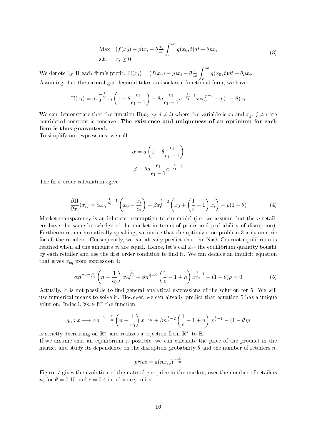Max 
$$
(f(x_0) - p)x_i - \theta \frac{x_i}{x_0} \int_c^{x_0} g(x_0, t) dt + \theta px_i
$$
  
s.t.  $x_i \ge 0$  (3)

We denote by  $\Pi$  each firm's profit:  $\Pi(x_i) = (f(x_0) - p)x_i - \theta \frac{x_i}{x_0}$  $\overline{x_0}$  $\int_0^x$ c  $g(x_0,t)dt + \theta px_i.$ Assuming that the natural gas demand takes an isoelastic functional form, we have

$$
\Pi(x_i) = ax_0^{-\frac{1}{\epsilon_0}} x_i \left( 1 - \theta \frac{\epsilon_1}{\epsilon_1 - 1} \right) + \theta a \frac{\epsilon_1}{\epsilon_1 - 1} c^{-\frac{1}{\epsilon_1} + 1} x_i x_0^{\frac{1}{\epsilon} - 1} - p(1 - \theta) x_i
$$

We can demonstrate that the function  $\Pi(x_i, x_j, j \neq i)$  where the variable is  $x_i$  and  $x_j$ ,  $j \neq i$  are considered constant is concave. The existence and uniqueness of an optimum for each firm is thus guaranteed.

To simplify our expressions, we call

$$
\alpha = a \left( 1 - \theta \frac{\epsilon_1}{\epsilon_1 - 1} \right)
$$

$$
\beta = \theta a \frac{\epsilon_1}{\epsilon_1 - 1} c^{-\frac{1}{\epsilon_1} + 1}
$$

The first order calculations give:

$$
\frac{\partial \Pi}{\partial x_i}(x_i) = \alpha x_0^{-\frac{1}{\epsilon_0} - 1} \left( x_0 - \frac{x_i}{\epsilon_0} \right) + \beta x_0^{\frac{1}{\epsilon} - 2} \left( x_0 + \left( \frac{1}{\epsilon} - 1 \right) x_i \right) - p(1 - \theta) \tag{4}
$$

Market transparency is an inherent assumption to our model (i.e. we assume that the  $n$  retailers have the same knowledge of the market in terms of prices and probability of disruption). Furthermore, mathematically speaking, we notice that the optimization problem 3 is symmetric for all the retailers. Consequently, we can already predict that the Nash-Cournot equilibrium is reached when all the amounts  $x_i$  are equal. Hence, let's call  $x_{eq}$  the equilibrium quantity bought by each retailer and use the first order condition to find it. We can deduce an implicit equation that gives  $x_{eq}$  from expression 4:

$$
\alpha n^{-1-\frac{1}{\epsilon_0}} \left( n - \frac{1}{\epsilon_0} \right) x_{eq}^{-\frac{1}{\epsilon_0}} + \beta n^{\frac{1}{\epsilon} - 2} \left( \frac{1}{\epsilon} - 1 + n \right) x_{eq}^{\frac{1}{\epsilon} - 1} - (1 - \theta) p = 0 \tag{5}
$$

Actually, it is not possible to find general analytical expressions of the solution for 5. We will use numerical means to solve it. However, we can already predict that equation 5 has a unique solution. Indeed,  $\forall n \in \mathbb{N}^*$  the function

$$
g_n: x \longrightarrow \alpha n^{-1-\frac{1}{\epsilon_0}} \left( n - \frac{1}{\epsilon_0} \right) x^{-\frac{1}{\epsilon_0}} + \beta n^{\frac{1}{\epsilon}-2} \left( \frac{1}{\epsilon} - 1 + n \right) x^{\frac{1}{\epsilon}-1} - (1 - \theta)p
$$

is strictly decreasing on  $\mathbb{R}^*_+$  and realizes a bijection from  $\mathbb{R}^*_+$  to  $\mathbb{R}$ .

If we assume that an equilibrium is possible, we can calculate the price of the product in the market and study its dependence on the disruption probability  $\theta$  and the number of retailers n.

$$
price = a(nx_{eq})^{-\frac{1}{\epsilon_0}}
$$

Figure 7 gives the evolution of the natural gas price in the market, over the number of retailers n, for  $\theta = 0.15$  and  $c = 0.4$  in arbitrary units.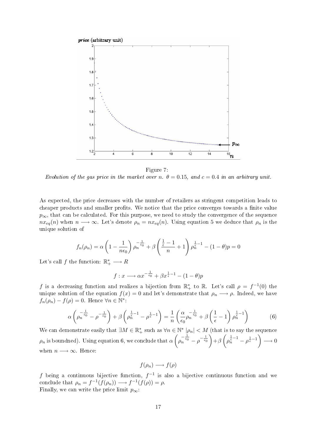

Figure 7: Evolution of the gas price in the market over n.  $\theta = 0.15$ , and  $c = 0.4$  in an arbitrary unit.

As expected, the price decreases with the number of retailers as stringent competition leads to cheaper products and smaller profits. We notice that the price converges towards a finite value  $p_{\infty}$ , that can be calculated. For this purpose, we need to study the convergence of the sequence  $nx_{eq}(n)$  when  $n \longrightarrow \infty$ . Let's denote  $\rho_n = nx_{eq}(n)$ . Using equation 5 we deduce that  $\rho_n$  is the unique solution of

$$
f_n(\rho_n) = \alpha \left(1 - \frac{1}{n\epsilon_0}\right) \rho_n^{-\frac{1}{\epsilon_0}} + \beta \left(\frac{\frac{1}{\epsilon} - 1}{n} + 1\right) \rho_n^{\frac{1}{\epsilon} - 1} - (1 - \theta)p = 0
$$

Let's call  $f$  the function:  $\mathbb{R}^*_+ \longrightarrow R$ 

$$
f: x \longrightarrow \alpha x^{-\frac{1}{\epsilon_0}} + \beta x^{\frac{1}{\epsilon}-1} - (1-\theta)p
$$

f is a decreasing function and realizes a bijection from  $\mathbb{R}^*_+$  to  $\mathbb{R}$ . Let's call  $\rho = f^{-1}(0)$  the unique solution of the equation  $f(x) = 0$  and let's demonstrate that  $\rho_n \longrightarrow \rho$ . Indeed, we have  $f_n(\rho_n) - f(\rho) = 0$ . Hence  $\forall n \in \mathbb{N}^*$ :

$$
\alpha \left( \rho_n^{-\frac{1}{\epsilon_0}} - \rho^{-\frac{1}{\epsilon_0}} \right) + \beta \left( \rho_n^{\frac{1}{\epsilon}-1} - \rho^{\frac{1}{\epsilon}-1} \right) = \frac{1}{n} \left( \frac{\alpha}{\epsilon_0} \rho_n^{-\frac{1}{\epsilon_0}} + \beta \left( \frac{1}{\epsilon} - 1 \right) \rho_n^{\frac{1}{\epsilon}-1} \right) \tag{6}
$$

We can demonstrate easily that  $\exists M \in \mathbb{R}_+^*$  such as  $\forall n \in \mathbb{N}^*$   $|\rho_n| < M$  (that is to say the sequence  $\rho_n$  is boundned). Using equation 6, we conclude that  $\alpha\left(\rho\right)$  $\left( \frac{1}{n} e^{-\frac{1}{\epsilon_0}} - \rho^{-\frac{1}{\epsilon_0}} \right) + \beta \left( \rho_n^{\frac{1}{\epsilon} - 1} - \rho_{\epsilon}^{\frac{1}{\epsilon} - 1} \right) \longrightarrow 0$ when  $n \longrightarrow \infty$ . Hence:

$$
f(\rho_n) \longrightarrow f(\rho)
$$

f being a continuous bijective function,  $f^{-1}$  is also a bijective continuous function and we conclude that  $\rho_n = f^{-1}(f(\rho_n)) \longrightarrow f^{-1}(f(\rho)) = \rho$ . Finally, we can write the price limit  $p_{\infty}$ :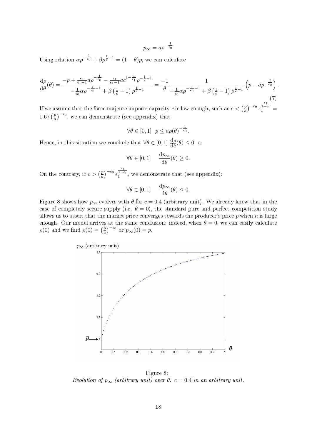$$
p_{\infty} = a \rho^{-\frac{1}{\epsilon_0}}
$$

Using relation  $\alpha \rho^{-\frac{1}{\epsilon_0}} + \beta \rho^{\frac{1}{\epsilon}-1} = (1-\theta)p$ , we can calculate

$$
\frac{d\rho}{d\theta}(\theta) = \frac{-p + \frac{\epsilon_1}{\epsilon_1 - 1}a\rho^{-\frac{1}{\epsilon_0}} - \frac{\epsilon_1}{\epsilon_1 - 1}ac^{1 - \frac{1}{\epsilon_1}}\rho^{-\frac{1}{\epsilon} - 1}}{-\frac{1}{\epsilon_0}\alpha\rho^{-\frac{1}{\epsilon_0} - 1} + \beta\left(\frac{1}{\epsilon} - 1\right)\rho^{\frac{1}{\epsilon} - 1}} = \frac{-1}{\theta} \frac{1}{-\frac{1}{\epsilon_0}\alpha\rho^{-\frac{1}{\epsilon_0} - 1} + \beta\left(\frac{1}{\epsilon} - 1\right)\rho^{\frac{1}{\epsilon} - 1}} \left(p - a\rho^{-\frac{1}{\epsilon_0}}\right).
$$
\n(7)

If we assume that the force majeure imports capacity c is low enough, such as  $c < \left(\frac{p}{q}\right)^{1/p}$  $\left(\frac{p}{a}\right)^{-\epsilon_0}$  $\frac{\frac{\epsilon_1}{1-\epsilon_1}}{1} =$  $1.67 \left( \frac{p}{q} \right)$  $\left(\frac{p}{a}\right)^{-\epsilon_0}$ , we can demonstrate (see appendix) that

$$
\forall \theta \in [0,1] \ \ p \le a\rho(\theta)^{-\frac{1}{\epsilon_0}}.
$$

Hence, in this situation we conclude that  $\forall \theta \in [0,1] \frac{d\rho}{d\theta}(\theta) \leq 0$ , or

$$
\forall \theta \in [0, 1] \quad \frac{\mathrm{d}p_{\infty}}{\mathrm{d}\theta}(\theta) \ge 0.
$$

On the contrary, if  $c > (\frac{p}{q})$  $\frac{p}{a}\right)^{-\epsilon_0}$  $\frac{\epsilon_1}{1-\epsilon_1}$ , we demonstrate that (see appendix):

$$
\forall \theta \in [0, 1] \quad \frac{\mathrm{d}p_{\infty}}{\mathrm{d}\theta}(\theta) \le 0.
$$

Figure 8 shows how  $p_{\infty}$  evolves with  $\theta$  for  $c = 0.4$  (arbitrary unit). We already know that in the case of completely secure supply (i.e.  $\theta = 0$ ), the standard pure and perfect competition study allows us to assert that the market price converges towards the producer's price  $p$  when  $n$  is large enough. Our model arrives at the same conclusion: indeed, when  $\theta = 0$ , we can easily calculate  $\rho(0)$  and we find  $\rho(0) = \left(\frac{p}{q}\right)$  $\left(\frac{p}{a}\right)^{-\epsilon_0}$  or  $p_{\infty}(0) = p$ .



Figure 8: Evolution of  $p_{\infty}$  (arbitrary unit) over  $\theta$ .  $c = 0.4$  in an arbitrary unit.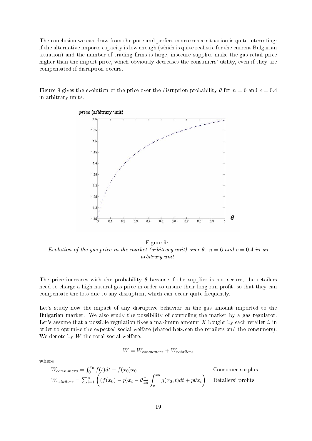The conclusion we can draw from the pure and perfect concurrence situation is quite interesting: if the alternative imports capacity is low enough (which is quite realistic for the current Bulgarian situation) and the number of trading firms is large, insecure supplies make the gas retail price higher than the import price, which obviously decreases the consumers' utility, even if they are compensated if disruption occurs.

Figure 9 gives the evolution of the price over the disruption probability  $\theta$  for  $n = 6$  and  $c = 0.4$ in arbitrary units.



Figure 9: Evolution of the gas price in the market (arbitrary unit) over  $\theta$ .  $n = 6$  and  $c = 0.4$  in an arbitrary unit.

The price increases with the probability  $\theta$  because if the supplier is not secure, the retailers need to charge a high natural gas price in order to ensure their long-run profit, so that they can compensate the loss due to any disruption, which can occur quite frequently.

Let's study now the impact of any disruptive behavior on the gas amount imported to the Bulgarian market. We also study the possibility of controling the market by a gas regulator. Let's assume that a possible regulation fixes a maximum amount X bought by each retailer  $i$ , in order to optimize the expected social welfare (shared between the retailers and the consumers). We denote by  $W$  the total social welfare:

$$
W = W_{consumes} + W_{retailers}
$$

where

$$
W_{consumes} = \int_0^{x_0} f(t)dt - f(x_0)x_0
$$
   
Consumer surplus  

$$
W_{retailers} = \sum_{i=1}^n \left( (f(x_0) - p)x_i - \theta \frac{x_i}{x_0} \int_c^{x_0} g(x_0, t)dt + p\theta x_i \right)
$$
   
Retailers' profits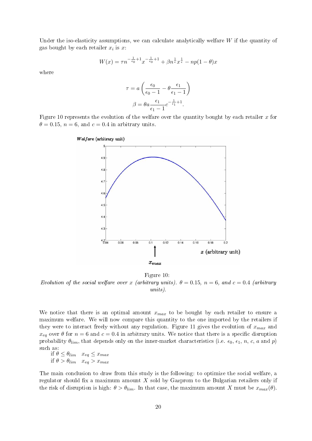Under the iso-elasticity assumptions, we can calculate analytically welfare  $W$  if the quantity of gas bought by each retailer  $x_i$  is  $x_i$ :

$$
W(x) = \tau n^{-\frac{1}{\epsilon_0} + 1} x^{-\frac{1}{\epsilon_0} + 1} + \beta n^{\frac{1}{\epsilon}} x^{\frac{1}{\epsilon}} - np(1 - \theta)x
$$

where

$$
\tau = a \left( \frac{\epsilon_0}{\epsilon_0 - 1} - \theta \frac{\epsilon_1}{\epsilon_1 - 1} \right)
$$

$$
\beta = \theta a \frac{\epsilon_1}{\epsilon_1 - 1} c^{-\frac{1}{\epsilon_1} + 1}.
$$

Figure 10 represents the evolution of the welfare over the quantity bought by each retailer  $x$  for  $\theta = 0.15$ ,  $n = 6$ , and  $c = 0.4$  in arbitrary units.



Figure 10: Evolution of the social welfare over x (arbitrary units).  $\theta = 0.15$ ,  $n = 6$ , and  $c = 0.4$  (arbitrary units).

We notice that there is an optimal amount  $x_{max}$  to be bought by each retailer to ensure a maximum welfare. We will now compare this quantity to the one imported by the retailers if they were to interact freely without any regulation. Figure 11 gives the evolution of  $x_{max}$  and  $x_{eq}$  over  $\theta$  for  $n = 6$  and  $c = 0.4$  in arbitrary units. We notice that there is a specific disruption probability  $\theta_{lim}$ , that depends only on the inner-market characteristics (i.e.  $\epsilon_0$ ,  $\epsilon_1$ , n, c, a and p) such as:

if  $\theta \leq \theta_{lim}$   $x_{eq} \leq x_{max}$ if  $\theta > \theta_{lim}$   $x_{eq} > x_{max}$ 

The main conclusion to draw from this study is the following: to optimize the social welfare, a regulator should fix a maximum amount  $X$  sold by Gazprom to the Bulgarian retailers only if the risk of disruption is high:  $\theta > \theta_{lim}$ . In that case, the maximum amount X must be  $x_{max}(\theta)$ .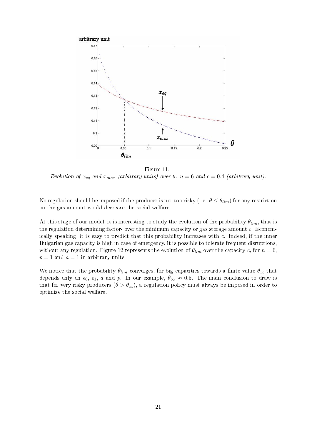

Figure 11: Evolution of  $x_{eq}$  and  $x_{max}$  (arbitrary units) over  $\theta$ .  $n = 6$  and  $c = 0.4$  (arbitrary unit).

No regulation should be imposed if the producer is not too risky (i.e.  $\theta \leq \theta_{lim}$ ) for any restriction on the gas amount would decrease the social welfare.

At this stage of our model, it is interesting to study the evolution of the probability  $\theta_{lim}$ , that is the regulation determining factor- over the minimum capacity or gas storage amount c. Economically speaking, it is easy to predict that this probability increases with c. Indeed, if the inner Bulgarian gas capacity is high in case of emergency, it is possible to tolerate frequent disruptions, without any regulation. Figure 12 represents the evolution of  $\theta_{lim}$  over the capacity c, for  $n = 6$ ,  $p = 1$  and  $a = 1$  in arbitrary units.

We notice that the probability  $\theta_{lim}$  converges, for big capacities towards a finite value  $\theta_{\infty}$  that depends only on  $\epsilon_0$ ,  $\epsilon_1$ , a and p. In our example,  $\theta_{\infty} \approx 0.5$ . The main conclusion to draw is that for very risky producers  $(\theta > \theta_{\infty})$ , a regulation policy must always be imposed in order to optimize the social welfare.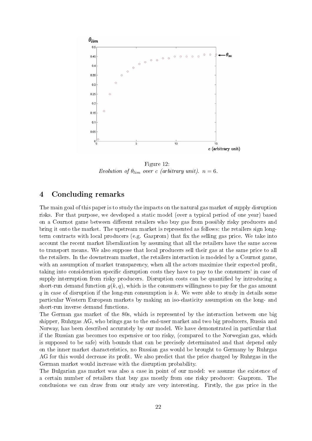

Figure 12: Evolution of  $\theta_{lim}$  over c (arbitrary unit).  $n = 6$ .

### 4 Concluding remarks

The main goal of this paper is to study the impacts on the natural gas market of supply disruption risks. For that purpose, we developed a static model (over a typical period of one year) based on a Cournot game between different retailers who buy gas from possibly risky producers and bring it onto the market. The upstream market is represented as follows: the retailers sign longterm contracts with local producers (e.g. Gazprom) that fix the selling gas price. We take into account the recent market liberalization by assuming that all the retailers have the same access to transport means. We also suppose that local producers sell their gas at the same price to all the retailers. In the downstream market, the retailers interaction is modeled by a Cournot game, with an assumption of market transparency, when all the actors maximize their expected profit. taking into consideration specific disruption costs they have to pay to the consumers' in case of supply interruption from risky producers. Disruption costs can be quantified by introducing a short-run demand function  $g(k, q)$ , which is the consumers willingness to pay for the gas amount q in case of disruption if the long-run consumption is  $k$ . We were able to study in details some particular Western European markets by making an iso-elasticity assumption on the long- and short-run inverse demand functions.

The German gas market of the 80s, which is represented by the interaction between one big shipper, Ruhrgas AG, who brings gas to the end-user market and two big producers, Russia and Norway, has been described accurately by our model. We have demonstrated in particular that if the Russian gas becomes too expensive or too risky, (compared to the Norwegian gas, which is supposed to be safe) with bounds that can be precisely determinated and that depend only on the inner market characteristics, no Russian gas would be brought to Germany by Ruhrgas AG for this would decrease its profit. We also predict that the price charged by Ruhrgas in the German market would increase with the disruption probability.

The Bulgarian gas market was also a case in point of our model: we assume the existence of a certain number of retailers that buy gas mostly from one risky producer: Gazprom. The conclusions we can draw from our study are very interesting. Firstly, the gas price in the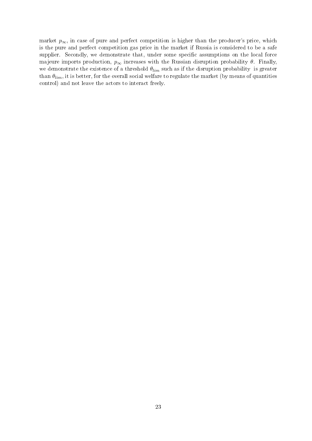market  $p_{\infty}$ , in case of pure and perfect competition is higher than the producer's price, which is the pure and perfect competition gas price in the market if Russia is considered to be a safe supplier. Secondly, we demonstrate that, under some specific assumptions on the local force majeure imports production,  $p_{\infty}$  increases with the Russian disruption probability  $\theta$ . Finally, we demonstrate the existence of a threshold  $\theta_{lim}$  such as if the disruption probability is greater than  $\theta_{lim}$ , it is better, for the overall social welfare to regulate the market (by means of quantities control) and not leave the actors to interact freely.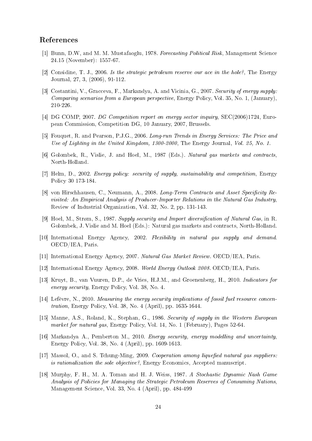### References

- [1] Bunn, D.W, and M. M. Mustafaoglu, 1978. Forecasting Political Risk, Management Science 24.15 (November): 1557-67.
- [2] Considine, T. J., 2006. Is the strategic petroleum reserve our ace in the hole?, The Energy Journal, 27, 3, (2006), 91-112.
- [3] Costantini, V., Gracceva, F., Markandya, A. and Vicinia, G., 2007. Security of energy supply: Comparing scenarios from a European perspective, Energy Policy, Vol. 35, No. 1, (January), 210-226.
- [4] DG COMP, 2007. DG Competition report on energy sector inquiry, SEC(2006)1724, European Commission, Competition DG, 10 January, 2007, Brussels.
- [5] Fouquet, R. and Pearson, P.J.G., 2006. Long-run Trends in Energy Services: The Price and Use of Lighting in the United Kingdom, 1300-2000, The Energy Journal, Vol. 25, No. 1.
- [6] Golombek, R., Vislie, J. and Hoel, M., 1987 (Eds.). Natural gas markets and contracts, North-Holland.
- [7] Helm, D., 2002. Energy policy: security of supply, sustainability and competition, Energy Policy 30 173-184.
- [8] von Hirschhausen, C., Neumann, A., 2008. Long-Term Contracts and Asset Specificity Revisited: An Empirical Analysis of Producer-Importer Relations in the Natural Gas Industry, Review of Industrial Organization, Vol. 32, No. 2, pp. 131-143.
- [9] Hoel, M., Strøm, S., 1987. Supply security and Import diversification of Natural Gas, in R. Golombek, J. Vislie and M. Hoel (Eds.): Natural gas markets and contracts, North-Holland.
- [10] International Energy Agency, 2002. Flexibility in natural gas supply and demand. OECD/IEA, Paris.
- [11] International Energy Agency, 2007. Natural Gas Market Review. OECD/IEA, Paris.
- [12] International Energy Agency, 2008. World Energy Outlook 2008. OECD/IEA, Paris.
- [13] Kruyt, B., van Vuuren, D.P., de Vries, H.J.M., and Groenenberg, H., 2010. Indicators for energy security, Energy Policy, Vol. 38, No. 4.
- [14] Lefèvre, N., 2010. Measuring the energy security implications of fossil fuel resource concentration, Energy Policy, Vol. 38, No. 4 (April), pp. 1635-1644.
- [15] Manne, A.S., Roland, K., Stephan, G., 1986. Security of supply in the Western European market for natural gas, Energy Policy, Vol. 14, No. 1 (February), Pages 52-64.
- [16] Markandya A., Pemberton M., 2010. Energy security, energy modelling and uncertainty, Energy Policy, Vol. 38, No. 4 (April), pp. 1609-1613.
- [17] Massol, O., and S. Tchung-Ming, 2009. Cooperation among liquefied natural gas suppliers: is rationalization the sole objective?, Energy Economics, Accepted manuscript.
- [18] Murphy, F. H., M. A. Toman and H. J. Weiss, 1987. A Stochastic Dynamic Nash Game Analysis of Policies for Managing the Strategic Petroleum Reserves of Consuming Nations, Management Science, Vol. 33, No. 4 (April), pp. 484-499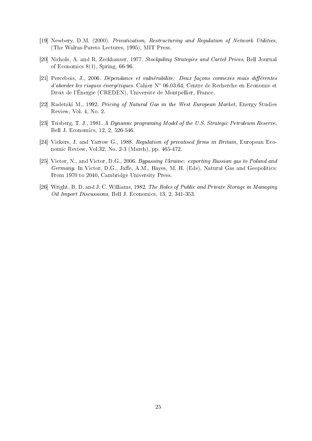- [19] Newbery, D.M. (2000). Privatization, Restructuring and Regulation of Network Utilities, (The Walras-Pareto Lectures, 1995), MIT Press.
- [20] Nichols, A. and R. Zeckhauser, 1977. Stockpiling Strategies and Cartel Prices, Bell Journal of Economics  $8(1)$ , Spring, 66-96.
- [21] Percebois, J., 2006. Dépendance et vulnérabilite: Deux façons connexes mais diérentes d'aborder les risques énergétiques. Cahier N◦ 06.03.64, Centre de Recherche en Economie et Droit de l'Énergie (CREDEN), Université de Montpellier, France.
- [22] Radetzki M., 1992. Pricing of Natural Gas in the West European Market, Energy Studies Review, Vol. 4, No. 2.
- [23] Teisberg, T. J., 1981. A Dynamic programing Model of the U.S. Strategic Petroleum Reserve. Bell J. Economics, 12, 2, 526-546.
- [24] Vickers, J. and Yarrow G., 1988. Regulation of privatised firms in Britain, European Economic Review, Vol.32, No. 2-3 (March), pp. 465-472.
- [25] Victor, N., and Victor, D.G., 2006. Bypassing Ukraine: exporting Russian gas to Poland and Germany. In Victor, D.G., Jaffe, A.M., Hayes, M. H. (Eds), Natural Gas and Geopolitics: From 1970 to 2040, Cambridge University Press.
- [26] Wright, B. D. and J. C. Williams, 1982. The Roles of Public and Private Storage in Managing Oil Import Discussions, Bell J. Economics, 13, 2, 341-353.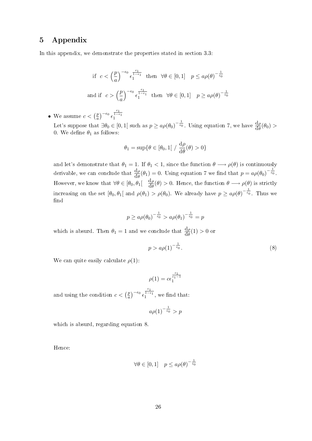## 5 Appendix

In this appendix, we demonstrate the properties stated in section 3.3:

if 
$$
c < \left(\frac{p}{a}\right)^{-\epsilon_0} \epsilon_1^{\frac{\epsilon_1}{1-\epsilon_1}}
$$
 then  $\forall \theta \in [0,1]$   $p \le a\rho(\theta)^{-\frac{1}{\epsilon_0}}$   
and if  $c > \left(\frac{p}{a}\right)^{-\epsilon_0} \epsilon_1^{\frac{\epsilon_1}{1-\epsilon_1}}$  then  $\forall \theta \in [0,1]$   $p \ge a\rho(\theta)^{-\frac{1}{\epsilon_0}}$ 

• We assume  $c < \left(\frac{p}{q}\right)$  $\left(\frac{p}{a}\right)^{-\epsilon_0}$  $\frac{\epsilon_1}{1-\epsilon_1}$ <br>1

Let's suppose that  $\exists \theta_0 \in [0,1]$  such as  $p \ge a \rho(\theta_0)^{-\frac{1}{\epsilon_0}}$ . Using equation 7, we have  $\frac{d\rho}{d\theta}(\theta_0) >$ 0. We define  $\theta_1$  as follows:

$$
\theta_1 = \sup \{ \theta \in [\theta_0, 1[ / \frac{d\rho}{d\theta}(\theta) > 0 \}
$$

and let's demonstrate that  $\theta_1 = 1$ . If  $\theta_1 < 1$ , since the function  $\theta \longrightarrow \rho(\theta)$  is continuously derivable, we can conclude that  $\frac{d\rho}{d\theta}(\theta_1) = 0$ . Using equation 7 we find that  $p = a\rho(\theta_0)^{-\frac{1}{\epsilon_0}}$ . However, we know that  $\forall \theta \in [\theta_0, \theta_1]$   $\frac{d\rho}{d\theta}$  $\frac{d\rho}{d\theta}(\theta) > 0$ . Hence, the function  $\theta \longrightarrow \rho(\theta)$  is strictly increasing on the set  $[\theta_0, \theta_1]$  and  $\rho(\theta_1) > \rho(\theta_0)$ . We already have  $p \ge a \rho(\theta)^{-\frac{1}{\epsilon_0}}$ . Thus we find

$$
p \ge a \rho(\theta_0)^{-\frac{1}{\epsilon_0}} > a \rho(\theta_1)^{-\frac{1}{\epsilon_0}} = p
$$

which is absurd. Then  $\theta_1 = 1$  and we conclude that  $\frac{d\rho}{d\theta}(1) > 0$  or

$$
p > a\rho(1)^{-\frac{1}{\epsilon_0}}.\tag{8}
$$

We can quite easily calculate  $\rho(1)$ :

$$
\rho(1) = c\epsilon_1^{\frac{\epsilon_1}{\epsilon_1 - 1}}
$$

and using the condition  $c < \left(\frac{p}{q}\right)$  $\left(\frac{p}{a}\right)^{-\epsilon_0}$  $\frac{\frac{\epsilon_1}{1-\epsilon_1}}{1}$  , we find that:

$$
a\rho(1)^{-\frac{1}{\epsilon_0}} > p
$$

which is absurd, regarding equation 8.

Hence:

$$
\forall \theta \in [0,1] \quad p \le a \rho(\theta)^{-\frac{1}{\epsilon_0}}
$$